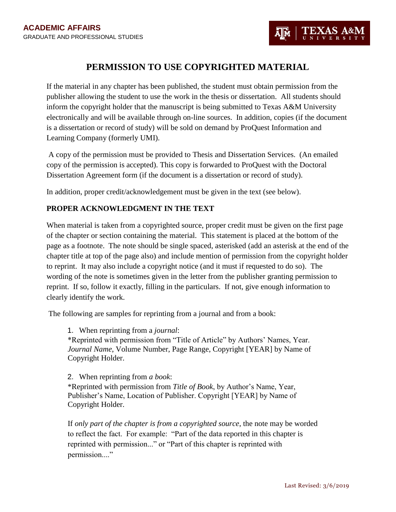# **PERMISSION TO USE COPYRIGHTED MATERIAL**

If the material in any chapter has been published, the student must obtain permission from the publisher allowing the student to use the work in the thesis or dissertation. All students should inform the copyright holder that the manuscript is being submitted to Texas A&M University electronically and will be available through on-line sources. In addition, copies (if the document is a dissertation or record of study) will be sold on demand by ProQuest Information and Learning Company (formerly UMI).

A copy of the permission must be provided to Thesis and Dissertation Services. (An emailed copy of the permission is accepted). This copy is forwarded to ProQuest with the Doctoral Dissertation Agreement form (if the document is a dissertation or record of study).

In addition, proper credit/acknowledgement must be given in the text (see below).

## **PROPER ACKNOWLEDGMENT IN THE TEXT**

When material is taken from a copyrighted source, proper credit must be given on the first page of the chapter or section containing the material. This statement is placed at the bottom of the page as a footnote. The note should be single spaced, asterisked (add an asterisk at the end of the chapter title at top of the page also) and include mention of permission from the copyright holder to reprint. It may also include a copyright notice (and it must if requested to do so). The wording of the note is sometimes given in the letter from the publisher granting permission to reprint. If so, follow it exactly, filling in the particulars. If not, give enough information to clearly identify the work.

The following are samples for reprinting from a journal and from a book:

1. When reprinting from a *journal*:

\*Reprinted with permission from "Title of Article" by Authors' Names, Year. *Journal Name*, Volume Number, Page Range, Copyright [YEAR] by Name of Copyright Holder.

2. When reprinting from *a book*:

\*Reprinted with permission from *Title of Book*, by Author's Name, Year, Publisher's Name, Location of Publisher. Copyright [YEAR] by Name of Copyright Holder.

If *only part of the chapter is from a copyrighted source*, the note may be worded to reflect the fact. For example: "Part of the data reported in this chapter is reprinted with permission..." or "Part of this chapter is reprinted with permission...."